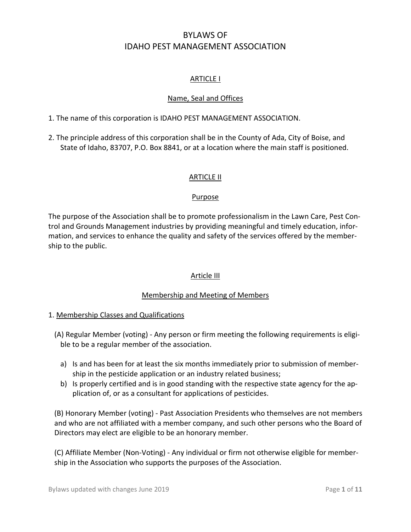# BYLAWS OF IDAHO PEST MANAGEMENT ASSOCIATION

# ARTICLE I

# Name, Seal and Offices

- 1. The name of this corporation is IDAHO PEST MANAGEMENT ASSOCIATION.
- 2. The principle address of this corporation shall be in the County of Ada, City of Boise, and State of Idaho, 83707, P.O. Box 8841, or at a location where the main staff is positioned.

# ARTICLE II

# Purpose

The purpose of the Association shall be to promote professionalism in the Lawn Care, Pest Control and Grounds Management industries by providing meaningful and timely education, information, and services to enhance the quality and safety of the services offered by the membership to the public.

# Article III

# Membership and Meeting of Members

# 1. Membership Classes and Qualifications

- (A) Regular Member (voting) Any person or firm meeting the following requirements is eligible to be a regular member of the association.
	- a) Is and has been for at least the six months immediately prior to submission of membership in the pesticide application or an industry related business;
	- b) Is properly certified and is in good standing with the respective state agency for the application of, or as a consultant for applications of pesticides.

(B) Honorary Member (voting) - Past Association Presidents who themselves are not members and who are not affiliated with a member company, and such other persons who the Board of Directors may elect are eligible to be an honorary member.

(C) Affiliate Member (Non-Voting) - Any individual or firm not otherwise eligible for membership in the Association who supports the purposes of the Association.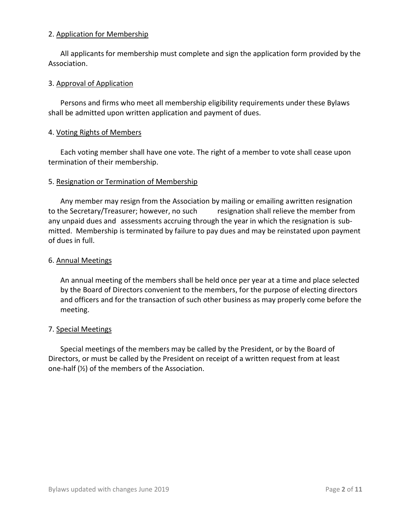### 2. Application for Membership

All applicants for membership must complete and sign the application form provided by the Association.

# 3. Approval of Application

Persons and firms who meet all membership eligibility requirements under these Bylaws shall be admitted upon written application and payment of dues.

### 4. Voting Rights of Members

Each voting member shall have one vote. The right of a member to vote shall cease upon termination of their membership.

### 5. Resignation or Termination of Membership

Any member may resign from the Association by mailing or emailing awritten resignation to the Secretary/Treasurer; however, no such resignation shall relieve the member from any unpaid dues and assessments accruing through the year in which the resignation is submitted. Membership is terminated by failure to pay dues and may be reinstated upon payment of dues in full.

### 6. Annual Meetings

An annual meeting of the members shall be held once per year at a time and place selected by the Board of Directors convenient to the members, for the purpose of electing directors and officers and for the transaction of such other business as may properly come before the meeting.

#### 7. Special Meetings

Special meetings of the members may be called by the President, or by the Board of Directors, or must be called by the President on receipt of a written request from at least one-half (½) of the members of the Association.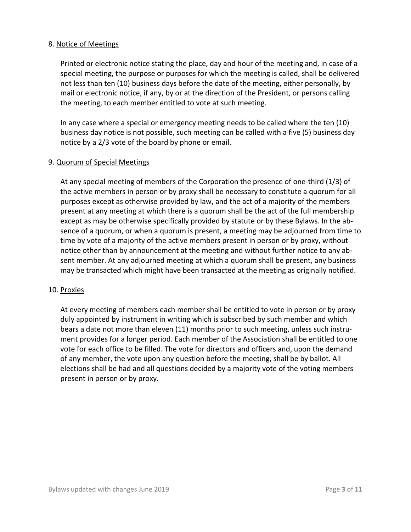# 8. Notice of Meetings

Printed or electronic notice stating the place, day and hour of the meeting and, in case of a special meeting, the purpose or purposes for which the meeting is called, shall be delivered not less than ten (10) business days before the date of the meeting, either personally, by mail or electronic notice, if any, by or at the direction of the President, or persons calling the meeting, to each member entitled to vote at such meeting.

In any case where a special or emergency meeting needs to be called where the ten (10) business day notice is not possible, such meeting can be called with a five (5) business day notice by a 2/3 vote of the board by phone or email.

### 9. Quorum of Special Meetings

At any special meeting of members of the Corporation the presence of one-third (1/3) of the active members in person or by proxy shall be necessary to constitute a quorum for all purposes except as otherwise provided by law, and the act of a majority of the members present at any meeting at which there is a quorum shall be the act of the full membership except as may be otherwise specifically provided by statute or by these Bylaws. In the absence of a quorum, or when a quorum is present, a meeting may be adjourned from time to time by vote of a majority of the active members present in person or by proxy, without notice other than by announcement at the meeting and without further notice to any absent member. At any adjourned meeting at which a quorum shall be present, any business may be transacted which might have been transacted at the meeting as originally notified.

#### 10. Proxies

At every meeting of members each member shall be entitled to vote in person or by proxy duly appointed by instrument in writing which is subscribed by such member and which bears a date not more than eleven (11) months prior to such meeting, unless such instrument provides for a longer period. Each member of the Association shall be entitled to one vote for each office to be filled. The vote for directors and officers and, upon the demand of any member, the vote upon any question before the meeting, shall be by ballot. All elections shall be had and all questions decided by a majority vote of the voting members present in person or by proxy.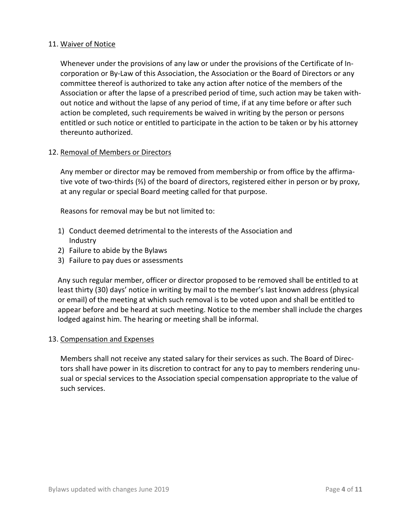# 11. Waiver of Notice

Whenever under the provisions of any law or under the provisions of the Certificate of Incorporation or By-Law of this Association, the Association or the Board of Directors or any committee thereof is authorized to take any action after notice of the members of the Association or after the lapse of a prescribed period of time, such action may be taken without notice and without the lapse of any period of time, if at any time before or after such action be completed, such requirements be waived in writing by the person or persons entitled or such notice or entitled to participate in the action to be taken or by his attorney thereunto authorized.

### 12. Removal of Members or Directors

Any member or director may be removed from membership or from office by the affirmative vote of two-thirds (⅔) of the board of directors, registered either in person or by proxy, at any regular or special Board meeting called for that purpose.

Reasons for removal may be but not limited to:

- 1) Conduct deemed detrimental to the interests of the Association and Industry
- 2) Failure to abide by the Bylaws
- 3) Failure to pay dues or assessments

Any such regular member, officer or director proposed to be removed shall be entitled to at least thirty (30) days' notice in writing by mail to the member's last known address (physical or email) of the meeting at which such removal is to be voted upon and shall be entitled to appear before and be heard at such meeting. Notice to the member shall include the charges lodged against him. The hearing or meeting shall be informal.

#### 13. Compensation and Expenses

Members shall not receive any stated salary for their services as such. The Board of Directors shall have power in its discretion to contract for any to pay to members rendering unusual or special services to the Association special compensation appropriate to the value of such services.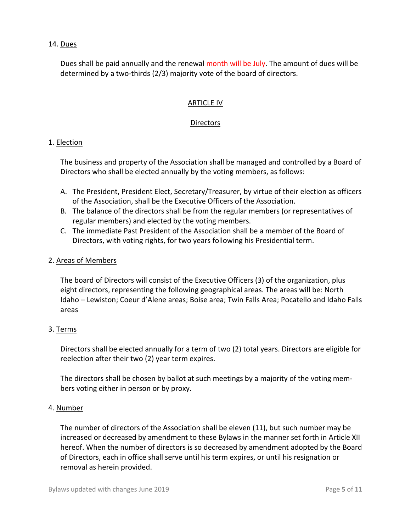# 14. Dues

Dues shall be paid annually and the renewal month will be July. The amount of dues will be determined by a two-thirds (2/3) majority vote of the board of directors.

# ARTICLE IV

# Directors

### 1. Election

The business and property of the Association shall be managed and controlled by a Board of Directors who shall be elected annually by the voting members, as follows:

- A. The President, President Elect, Secretary/Treasurer, by virtue of their election as officers of the Association, shall be the Executive Officers of the Association.
- B. The balance of the directors shall be from the regular members (or representatives of regular members) and elected by the voting members.
- C. The immediate Past President of the Association shall be a member of the Board of Directors, with voting rights, for two years following his Presidential term.

### 2. Areas of Members

The board of Directors will consist of the Executive Officers (3) of the organization, plus eight directors, representing the following geographical areas. The areas will be: North Idaho – Lewiston; Coeur d'Alene areas; Boise area; Twin Falls Area; Pocatello and Idaho Falls areas

# 3. Terms

Directors shall be elected annually for a term of two (2) total years. Directors are eligible for reelection after their two (2) year term expires.

The directors shall be chosen by ballot at such meetings by a majority of the voting members voting either in person or by proxy.

#### 4. Number

The number of directors of the Association shall be eleven (11), but such number may be increased or decreased by amendment to these Bylaws in the manner set forth in Article XII hereof. When the number of directors is so decreased by amendment adopted by the Board of Directors, each in office shall serve until his term expires, or until his resignation or removal as herein provided.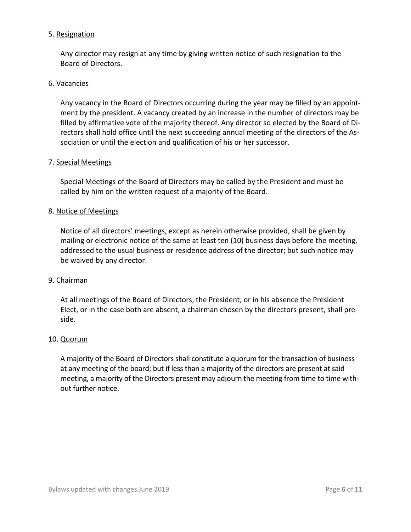### 5. Resignation

Any director may resign at any time by giving written notice of such resignation to the Board of Directors.

### 6. Vacancies

Any vacancy in the Board of Directors occurring during the year may be filled by an appointment by the president. A vacancy created by an increase in the number of directors may be filled by affirmative vote of the majority thereof. Any director so elected by the Board of Directors shall hold office until the next succeeding annual meeting of the directors of the Association or until the election and qualification of his or her successor.

#### 7. Special Meetings

Special Meetings of the Board of Directors may be called by the President and must be called by him on the written request of a majority of the Board.

### 8. Notice of Meetings

Notice of all directors' meetings, except as herein otherwise provided, shall be given by mailing or electronic notice of the same at least ten (10) business days before the meeting, addressed to the usual business or residence address of the director; but such notice may be waived by any director.

#### 9. Chairman

At all meetings of the Board of Directors, the President, or in his absence the President Elect, or in the case both are absent, a chairman chosen by the directors present, shall preside.

#### 10. Quorum

A majority of the Board of Directors shall constitute a quorum for the transaction of business at any meeting of the board; but if less than a majority of the directors are present at said meeting, a majority of the Directors present may adjourn the meeting from time to time without further notice.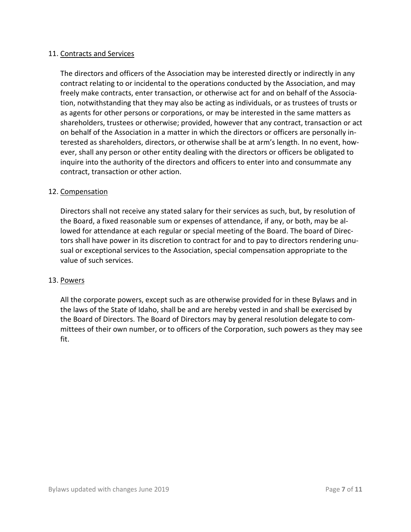# 11. Contracts and Services

The directors and officers of the Association may be interested directly or indirectly in any contract relating to or incidental to the operations conducted by the Association, and may freely make contracts, enter transaction, or otherwise act for and on behalf of the Association, notwithstanding that they may also be acting as individuals, or as trustees of trusts or as agents for other persons or corporations, or may be interested in the same matters as shareholders, trustees or otherwise; provided, however that any contract, transaction or act on behalf of the Association in a matter in which the directors or officers are personally interested as shareholders, directors, or otherwise shall be at arm's length. In no event, however, shall any person or other entity dealing with the directors or officers be obligated to inquire into the authority of the directors and officers to enter into and consummate any contract, transaction or other action.

### 12. Compensation

Directors shall not receive any stated salary for their services as such, but, by resolution of the Board, a fixed reasonable sum or expenses of attendance, if any, or both, may be allowed for attendance at each regular or special meeting of the Board. The board of Directors shall have power in its discretion to contract for and to pay to directors rendering unusual or exceptional services to the Association, special compensation appropriate to the value of such services.

#### 13. Powers

All the corporate powers, except such as are otherwise provided for in these Bylaws and in the laws of the State of Idaho, shall be and are hereby vested in and shall be exercised by the Board of Directors. The Board of Directors may by general resolution delegate to committees of their own number, or to officers of the Corporation, such powers as they may see fit.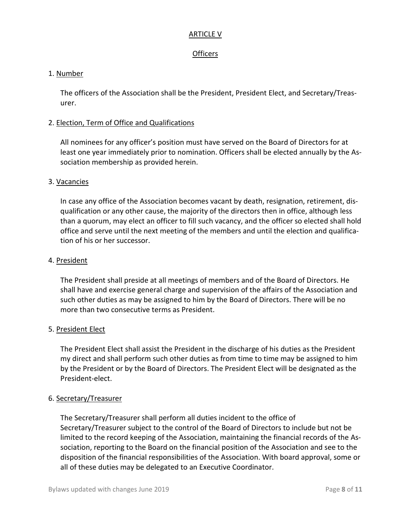#### ARTICLE V

# **Officers**

# 1. Number

The officers of the Association shall be the President, President Elect, and Secretary/Treasurer.

### 2. Election, Term of Office and Qualifications

All nominees for any officer's position must have served on the Board of Directors for at least one year immediately prior to nomination. Officers shall be elected annually by the Association membership as provided herein.

### 3. Vacancies

In case any office of the Association becomes vacant by death, resignation, retirement, disqualification or any other cause, the majority of the directors then in office, although less than a quorum, may elect an officer to fill such vacancy, and the officer so elected shall hold office and serve until the next meeting of the members and until the election and qualification of his or her successor.

### 4. President

The President shall preside at all meetings of members and of the Board of Directors. He shall have and exercise general charge and supervision of the affairs of the Association and such other duties as may be assigned to him by the Board of Directors. There will be no more than two consecutive terms as President.

#### 5. President Elect

The President Elect shall assist the President in the discharge of his duties as the President my direct and shall perform such other duties as from time to time may be assigned to him by the President or by the Board of Directors. The President Elect will be designated as the President-elect.

# 6. Secretary/Treasurer

The Secretary/Treasurer shall perform all duties incident to the office of Secretary/Treasurer subject to the control of the Board of Directors to include but not be limited to the record keeping of the Association, maintaining the financial records of the Association, reporting to the Board on the financial position of the Association and see to the disposition of the financial responsibilities of the Association. With board approval, some or all of these duties may be delegated to an Executive Coordinator.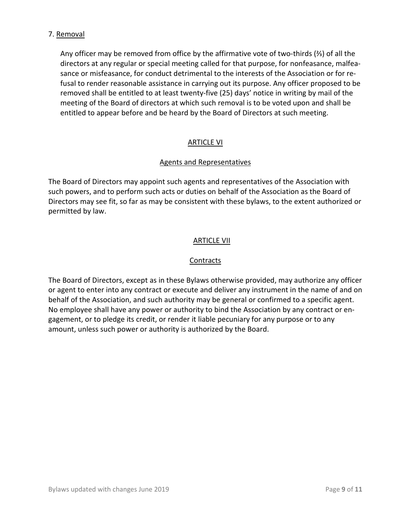# 7. Removal

Any officer may be removed from office by the affirmative vote of two-thirds (⅔) of all the directors at any regular or special meeting called for that purpose, for nonfeasance, malfeasance or misfeasance, for conduct detrimental to the interests of the Association or for refusal to render reasonable assistance in carrying out its purpose. Any officer proposed to be removed shall be entitled to at least twenty-five (25) days' notice in writing by mail of the meeting of the Board of directors at which such removal is to be voted upon and shall be entitled to appear before and be heard by the Board of Directors at such meeting.

# ARTICLE VI

# Agents and Representatives

The Board of Directors may appoint such agents and representatives of the Association with such powers, and to perform such acts or duties on behalf of the Association as the Board of Directors may see fit, so far as may be consistent with these bylaws, to the extent authorized or permitted by law.

# ARTICLE VII

# **Contracts**

The Board of Directors, except as in these Bylaws otherwise provided, may authorize any officer or agent to enter into any contract or execute and deliver any instrument in the name of and on behalf of the Association, and such authority may be general or confirmed to a specific agent. No employee shall have any power or authority to bind the Association by any contract or engagement, or to pledge its credit, or render it liable pecuniary for any purpose or to any amount, unless such power or authority is authorized by the Board.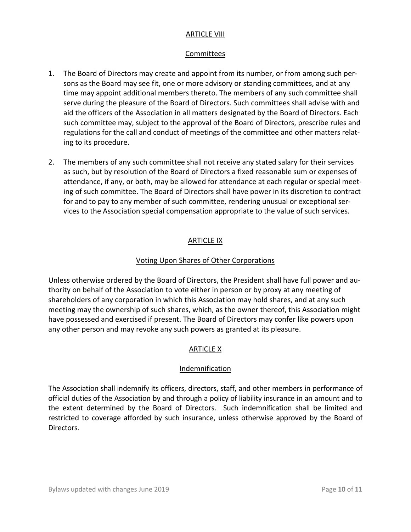# ARTICLE VIII

# Committees

- 1. The Board of Directors may create and appoint from its number, or from among such persons as the Board may see fit, one or more advisory or standing committees, and at any time may appoint additional members thereto. The members of any such committee shall serve during the pleasure of the Board of Directors. Such committees shall advise with and aid the officers of the Association in all matters designated by the Board of Directors. Each such committee may, subject to the approval of the Board of Directors, prescribe rules and regulations for the call and conduct of meetings of the committee and other matters relating to its procedure.
- 2. The members of any such committee shall not receive any stated salary for their services as such, but by resolution of the Board of Directors a fixed reasonable sum or expenses of attendance, if any, or both, may be allowed for attendance at each regular or special meeting of such committee. The Board of Directors shall have power in its discretion to contract for and to pay to any member of such committee, rendering unusual or exceptional services to the Association special compensation appropriate to the value of such services.

### ARTICLE IX

### Voting Upon Shares of Other Corporations

Unless otherwise ordered by the Board of Directors, the President shall have full power and authority on behalf of the Association to vote either in person or by proxy at any meeting of shareholders of any corporation in which this Association may hold shares, and at any such meeting may the ownership of such shares, which, as the owner thereof, this Association might have possessed and exercised if present. The Board of Directors may confer like powers upon any other person and may revoke any such powers as granted at its pleasure.

# ARTICLE X

# **Indemnification**

The Association shall indemnify its officers, directors, staff, and other members in performance of official duties of the Association by and through a policy of liability insurance in an amount and to the extent determined by the Board of Directors. Such indemnification shall be limited and restricted to coverage afforded by such insurance, unless otherwise approved by the Board of Directors.